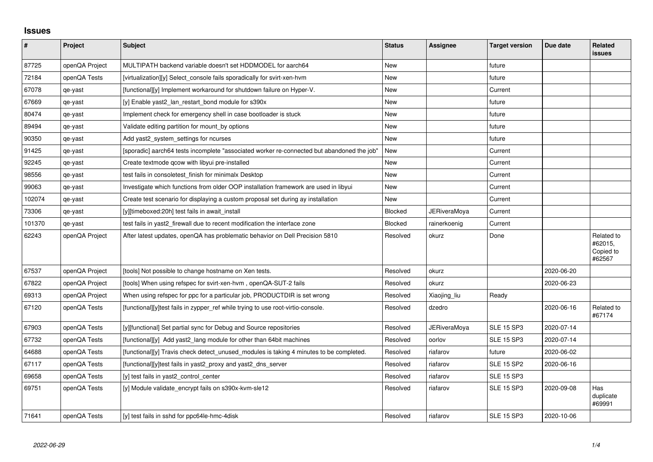## **Issues**

| $\vert$ # | Project        | Subject                                                                                    | <b>Status</b>  | Assignee            | <b>Target version</b> | Due date   | <b>Related</b><br><b>issues</b>              |
|-----------|----------------|--------------------------------------------------------------------------------------------|----------------|---------------------|-----------------------|------------|----------------------------------------------|
| 87725     | openQA Project | MULTIPATH backend variable doesn't set HDDMODEL for aarch64                                | New            |                     | future                |            |                                              |
| 72184     | openQA Tests   | [virtualization][y] Select_console fails sporadically for svirt-xen-hvm                    | New            |                     | future                |            |                                              |
| 67078     | qe-yast        | [functional][y] Implement workaround for shutdown failure on Hyper-V.                      | New            |                     | Current               |            |                                              |
| 67669     | qe-yast        | [y] Enable yast2_lan_restart_bond module for s390x                                         | <b>New</b>     |                     | future                |            |                                              |
| 80474     | qe-yast        | Implement check for emergency shell in case bootloader is stuck                            | New            |                     | future                |            |                                              |
| 89494     | qe-yast        | Validate editing partition for mount_by options                                            | New            |                     | future                |            |                                              |
| 90350     | qe-yast        | Add yast2 system settings for ncurses                                                      | <b>New</b>     |                     | future                |            |                                              |
| 91425     | qe-yast        | [sporadic] aarch64 tests incomplete "associated worker re-connected but abandoned the job" | New            |                     | Current               |            |                                              |
| 92245     | qe-yast        | Create textmode qcow with libyui pre-installed                                             | New            |                     | Current               |            |                                              |
| 98556     | qe-yast        | test fails in consoletest finish for minimalx Desktop                                      | <b>New</b>     |                     | Current               |            |                                              |
| 99063     | qe-yast        | Investigate which functions from older OOP installation framework are used in libyui       | New            |                     | Current               |            |                                              |
| 102074    | qe-yast        | Create test scenario for displaying a custom proposal set during ay installation           | New            |                     | Current               |            |                                              |
| 73306     | qe-yast        | [y][timeboxed:20h] test fails in await install                                             | <b>Blocked</b> | <b>JERiveraMoya</b> | Current               |            |                                              |
| 101370    | qe-yast        | test fails in yast2 firewall due to recent modification the interface zone                 | Blocked        | rainerkoenig        | Current               |            |                                              |
| 62243     | openQA Project | After latest updates, openQA has problematic behavior on Dell Precision 5810               | Resolved       | okurz               | Done                  |            | Related to<br>#62015,<br>Copied to<br>#62567 |
| 67537     | openQA Project | [tools] Not possible to change hostname on Xen tests.                                      | Resolved       | okurz               |                       | 2020-06-20 |                                              |
| 67822     | openQA Project | [tools] When using refspec for svirt-xen-hvm, openQA-SUT-2 fails                           | Resolved       | okurz               |                       | 2020-06-23 |                                              |
| 69313     | openQA Project | When using refspec for ppc for a particular job, PRODUCTDIR is set wrong                   | Resolved       | Xiaojing_liu        | Ready                 |            |                                              |
| 67120     | openQA Tests   | [functional][y]test fails in zypper ref while trying to use root-virtio-console.           | Resolved       | dzedro              |                       | 2020-06-16 | Related to<br>#67174                         |
| 67903     | openQA Tests   | [y][functional] Set partial sync for Debug and Source repositories                         | Resolved       | <b>JERiveraMoya</b> | <b>SLE 15 SP3</b>     | 2020-07-14 |                                              |
| 67732     | openQA Tests   | [functional][y] Add yast2 lang module for other than 64bit machines                        | Resolved       | oorlov              | <b>SLE 15 SP3</b>     | 2020-07-14 |                                              |
| 64688     | openQA Tests   | [functional][y] Travis check detect_unused_modules is taking 4 minutes to be completed.    | Resolved       | riafarov            | future                | 2020-06-02 |                                              |
| 67117     | openQA Tests   | [functional][y]test fails in yast2 proxy and yast2 dns server                              | Resolved       | riafarov            | <b>SLE 15 SP2</b>     | 2020-06-16 |                                              |
| 69658     | openQA Tests   | [y] test fails in yast2_control_center                                                     | Resolved       | riafarov            | <b>SLE 15 SP3</b>     |            |                                              |
| 69751     | openQA Tests   | [y] Module validate_encrypt fails on s390x-kvm-sle12                                       | Resolved       | riafarov            | <b>SLE 15 SP3</b>     | 2020-09-08 | Has<br>duplicate<br>#69991                   |
| 71641     | openQA Tests   | [y] test fails in sshd for ppc64le-hmc-4disk                                               | Resolved       | riafarov            | <b>SLE 15 SP3</b>     | 2020-10-06 |                                              |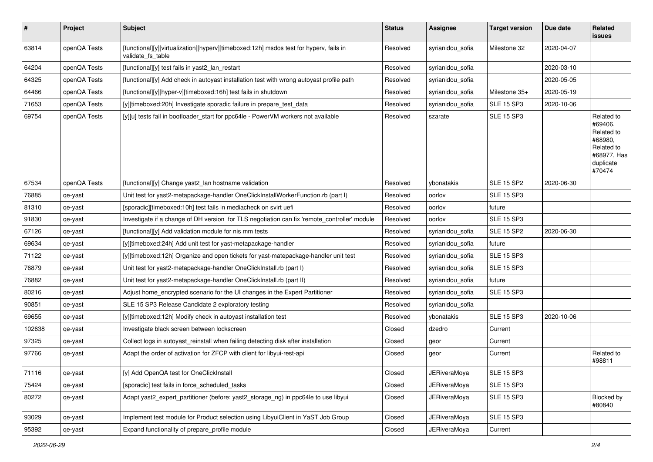| $\vert$ # | Project      | Subject                                                                                                     | <b>Status</b> | Assignee            | <b>Target version</b> | Due date   | <b>Related</b><br><b>issues</b>                                                                    |
|-----------|--------------|-------------------------------------------------------------------------------------------------------------|---------------|---------------------|-----------------------|------------|----------------------------------------------------------------------------------------------------|
| 63814     | openQA Tests | [functional][y][virtualization][hyperv][timeboxed:12h] msdos test for hyperv, fails in<br>validate fs table | Resolved      | syrianidou_sofia    | Milestone 32          | 2020-04-07 |                                                                                                    |
| 64204     | openQA Tests | [functional][y] test fails in yast2_lan_restart                                                             | Resolved      | syrianidou_sofia    |                       | 2020-03-10 |                                                                                                    |
| 64325     | openQA Tests | [functional][y] Add check in autoyast installation test with wrong autoyast profile path                    | Resolved      | syrianidou sofia    |                       | 2020-05-05 |                                                                                                    |
| 64466     | openQA Tests | [functional][y][hyper-v][timeboxed:16h] test fails in shutdown                                              | Resolved      | syrianidou_sofia    | Milestone 35+         | 2020-05-19 |                                                                                                    |
| 71653     | openQA Tests | [y][timeboxed:20h] Investigate sporadic failure in prepare_test_data                                        | Resolved      | syrianidou_sofia    | <b>SLE 15 SP3</b>     | 2020-10-06 |                                                                                                    |
| 69754     | openQA Tests | [y][u] tests fail in bootloader_start for ppc64le - PowerVM workers not available                           | Resolved      | szarate             | <b>SLE 15 SP3</b>     |            | Related to<br>#69406,<br>Related to<br>#68980,<br>Related to<br>#68977, Has<br>duplicate<br>#70474 |
| 67534     | openQA Tests | [functional][y] Change yast2_lan hostname validation                                                        | Resolved      | ybonatakis          | <b>SLE 15 SP2</b>     | 2020-06-30 |                                                                                                    |
| 76885     | qe-yast      | Unit test for yast2-metapackage-handler OneClickInstallWorkerFunction.rb (part I)                           | Resolved      | oorlov              | <b>SLE 15 SP3</b>     |            |                                                                                                    |
| 81310     | qe-yast      | [sporadic][timeboxed:10h] test fails in mediacheck on svirt uefi                                            | Resolved      | oorlov              | future                |            |                                                                                                    |
| 91830     | qe-yast      | Investigate if a change of DH version for TLS negotiation can fix 'remote_controller' module                | Resolved      | oorlov              | <b>SLE 15 SP3</b>     |            |                                                                                                    |
| 67126     | qe-yast      | [functional][y] Add validation module for nis mm tests                                                      | Resolved      | syrianidou_sofia    | <b>SLE 15 SP2</b>     | 2020-06-30 |                                                                                                    |
| 69634     | qe-yast      | [y][timeboxed:24h] Add unit test for yast-metapackage-handler                                               | Resolved      | syrianidou_sofia    | future                |            |                                                                                                    |
| 71122     | qe-yast      | [y][timeboxed:12h] Organize and open tickets for yast-matepackage-handler unit test                         | Resolved      | syrianidou_sofia    | <b>SLE 15 SP3</b>     |            |                                                                                                    |
| 76879     | qe-yast      | Unit test for yast2-metapackage-handler OneClickInstall.rb (part I)                                         | Resolved      | syrianidou_sofia    | <b>SLE 15 SP3</b>     |            |                                                                                                    |
| 76882     | qe-yast      | Unit test for yast2-metapackage-handler OneClickInstall.rb (part II)                                        | Resolved      | syrianidou sofia    | future                |            |                                                                                                    |
| 80216     | qe-yast      | Adjust home encrypted scenario for the UI changes in the Expert Partitioner                                 | Resolved      | syrianidou_sofia    | <b>SLE 15 SP3</b>     |            |                                                                                                    |
| 90851     | qe-yast      | SLE 15 SP3 Release Candidate 2 exploratory testing                                                          | Resolved      | syrianidou_sofia    |                       |            |                                                                                                    |
| 69655     | qe-yast      | [y][timeboxed:12h] Modify check in autoyast installation test                                               | Resolved      | ybonatakis          | <b>SLE 15 SP3</b>     | 2020-10-06 |                                                                                                    |
| 102638    | qe-yast      | Investigate black screen between lockscreen                                                                 | Closed        | dzedro              | Current               |            |                                                                                                    |
| 97325     | qe-yast      | Collect logs in autoyast_reinstall when failing detecting disk after installation                           | Closed        | geor                | Current               |            |                                                                                                    |
| 97766     | qe-yast      | Adapt the order of activation for ZFCP with client for libyui-rest-api                                      | Closed        | geor                | Current               |            | Related to<br>#98811                                                                               |
| 71116     | qe-yast      | [y] Add OpenQA test for OneClickInstall                                                                     | Closed        | <b>JERiveraMoya</b> | SLE 15 SP3            |            |                                                                                                    |
| 75424     | qe-yast      | [sporadic] test fails in force_scheduled_tasks                                                              | Closed        | <b>JERiveraMoya</b> | <b>SLE 15 SP3</b>     |            |                                                                                                    |
| 80272     | qe-yast      | Adapt yast2_expert_partitioner (before: yast2_storage_ng) in ppc64le to use libyui                          | Closed        | <b>JERiveraMoya</b> | <b>SLE 15 SP3</b>     |            | Blocked by<br>#80840                                                                               |
| 93029     | qe-yast      | Implement test module for Product selection using LibyuiClient in YaST Job Group                            | Closed        | <b>JERiveraMoya</b> | <b>SLE 15 SP3</b>     |            |                                                                                                    |
| 95392     | qe-yast      | Expand functionality of prepare_profile module                                                              | Closed        | <b>JERiveraMoya</b> | Current               |            |                                                                                                    |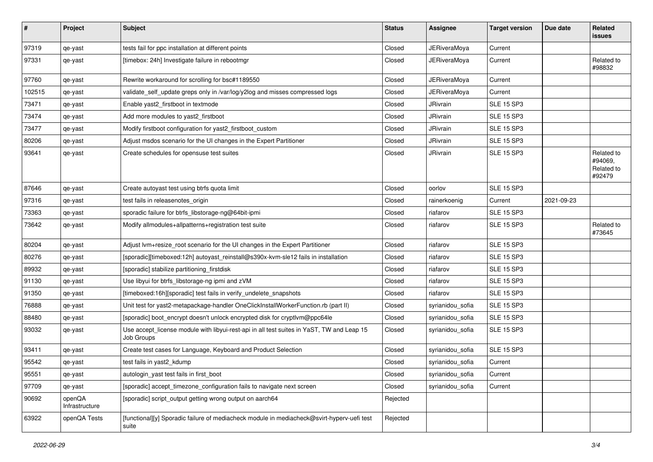| $\sharp$ | Project                  | <b>Subject</b>                                                                                          | <b>Status</b> | Assignee            | <b>Target version</b> | Due date   | Related<br>issues                             |
|----------|--------------------------|---------------------------------------------------------------------------------------------------------|---------------|---------------------|-----------------------|------------|-----------------------------------------------|
| 97319    | qe-yast                  | tests fail for ppc installation at different points                                                     | Closed        | <b>JERiveraMoya</b> | Current               |            |                                               |
| 97331    | qe-yast                  | [timebox: 24h] Investigate failure in rebootmgr                                                         | Closed        | <b>JERiveraMoya</b> | Current               |            | Related to<br>#98832                          |
| 97760    | qe-yast                  | Rewrite workaround for scrolling for bsc#1189550                                                        | Closed        | <b>JERiveraMoya</b> | Current               |            |                                               |
| 102515   | qe-yast                  | validate_self_update greps only in /var/log/y2log and misses compressed logs                            | Closed        | <b>JERiveraMoya</b> | Current               |            |                                               |
| 73471    | qe-yast                  | Enable yast2 firstboot in textmode                                                                      | Closed        | JRivrain            | <b>SLE 15 SP3</b>     |            |                                               |
| 73474    | qe-yast                  | Add more modules to yast2 firstboot                                                                     | Closed        | JRivrain            | <b>SLE 15 SP3</b>     |            |                                               |
| 73477    | qe-yast                  | Modify firstboot configuration for yast2_firstboot_custom                                               | Closed        | JRivrain            | <b>SLE 15 SP3</b>     |            |                                               |
| 80206    | qe-yast                  | Adjust msdos scenario for the UI changes in the Expert Partitioner                                      | Closed        | <b>JRivrain</b>     | <b>SLE 15 SP3</b>     |            |                                               |
| 93641    | qe-yast                  | Create schedules for opensuse test suites                                                               | Closed        | JRivrain            | <b>SLE 15 SP3</b>     |            | Related to<br>#94069,<br>Related to<br>#92479 |
| 87646    | qe-yast                  | Create autoyast test using btrfs quota limit                                                            | Closed        | oorlov              | <b>SLE 15 SP3</b>     |            |                                               |
| 97316    | qe-yast                  | test fails in releasenotes_origin                                                                       | Closed        | rainerkoenig        | Current               | 2021-09-23 |                                               |
| 73363    | qe-yast                  | sporadic failure for btrfs_libstorage-ng@64bit-ipmi                                                     | Closed        | riafarov            | <b>SLE 15 SP3</b>     |            |                                               |
| 73642    | qe-yast                  | Modify allmodules+allpatterns+registration test suite                                                   | Closed        | riafarov            | <b>SLE 15 SP3</b>     |            | Related to<br>#73645                          |
| 80204    | qe-yast                  | Adjust lvm+resize_root scenario for the UI changes in the Expert Partitioner                            | Closed        | riafarov            | <b>SLE 15 SP3</b>     |            |                                               |
| 80276    | qe-yast                  | [sporadic][timeboxed:12h] autoyast_reinstall@s390x-kvm-sle12 fails in installation                      | Closed        | riafarov            | <b>SLE 15 SP3</b>     |            |                                               |
| 89932    | qe-yast                  | [sporadic] stabilize partitioning_firstdisk                                                             | Closed        | riafarov            | <b>SLE 15 SP3</b>     |            |                                               |
| 91130    | qe-yast                  | Use libyui for btrfs_libstorage-ng ipmi and zVM                                                         | Closed        | riafarov            | <b>SLE 15 SP3</b>     |            |                                               |
| 91350    | qe-yast                  | [timeboxed:16h][sporadic] test fails in verify_undelete_snapshots                                       | Closed        | riafarov            | <b>SLE 15 SP3</b>     |            |                                               |
| 76888    | qe-yast                  | Unit test for yast2-metapackage-handler OneClickInstallWorkerFunction.rb (part II)                      | Closed        | syrianidou_sofia    | <b>SLE 15 SP3</b>     |            |                                               |
| 88480    | qe-yast                  | [sporadic] boot_encrypt doesn't unlock encrypted disk for cryptlvm@ppc64le                              | Closed        | syrianidou_sofia    | <b>SLE 15 SP3</b>     |            |                                               |
| 93032    | qe-yast                  | Use accept_license module with libyui-rest-api in all test suites in YaST, TW and Leap 15<br>Job Groups | Closed        | syrianidou_sofia    | <b>SLE 15 SP3</b>     |            |                                               |
| 93411    | qe-yast                  | Create test cases for Language, Keyboard and Product Selection                                          | Closed        | syrianidou_sofia    | <b>SLE 15 SP3</b>     |            |                                               |
| 95542    | qe-yast                  | test fails in yast2_kdump                                                                               | Closed        | syrianidou_sofia    | Current               |            |                                               |
| 95551    | qe-yast                  | autologin_yast test fails in first_boot                                                                 | Closed        | syrianidou_sofia    | Current               |            |                                               |
| 97709    | qe-yast                  | [sporadic] accept_timezone_configuration fails to navigate next screen                                  | Closed        | syrianidou_sofia    | Current               |            |                                               |
| 90692    | openQA<br>Infrastructure | [sporadic] script_output getting wrong output on aarch64                                                | Rejected      |                     |                       |            |                                               |
| 63922    | openQA Tests             | [functional][y] Sporadic failure of mediacheck module in mediacheck@svirt-hyperv-uefi test<br>suite     | Rejected      |                     |                       |            |                                               |